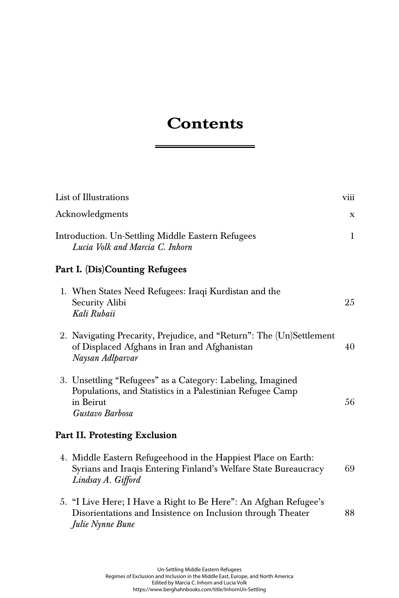## **Contents**

÷

| List of Illustrations                                                                                                                                   | viii         |
|---------------------------------------------------------------------------------------------------------------------------------------------------------|--------------|
| Acknowledgments                                                                                                                                         | X            |
| Introduction. Un-Settling Middle Eastern Refugees<br>Lucia Volk and Marcia C. Inhorn                                                                    | $\mathbf{1}$ |
| Part I. (Dis)Counting Refugees                                                                                                                          |              |
| 1. When States Need Refugees: Iraqi Kurdistan and the<br>Security Alibi<br>Kali Rubaii                                                                  | 25           |
| 2. Navigating Precarity, Prejudice, and "Return": The (Un)Settlement<br>of Displaced Afghans in Iran and Afghanistan<br>Naysan Adlparvar                | 40           |
| 3. Unsettling "Refugees" as a Category: Labeling, Imagined<br>Populations, and Statistics in a Palestinian Refugee Camp<br>in Beirut<br>Gustavo Barbosa | 56           |
| Part II. Protesting Exclusion                                                                                                                           |              |
| 4. Middle Eastern Refugeehood in the Happiest Place on Earth:<br>Syrians and Iraqis Entering Finland's Welfare State Bureaucracy<br>Lindsay A. Gifford  | 69           |
| 5. "I Live Here; I Have a Right to Be Here": An Afghan Refugee's<br>Disorientations and Insistence on Inclusion through Theater<br>Julie Nynne Bune     | 88           |
|                                                                                                                                                         |              |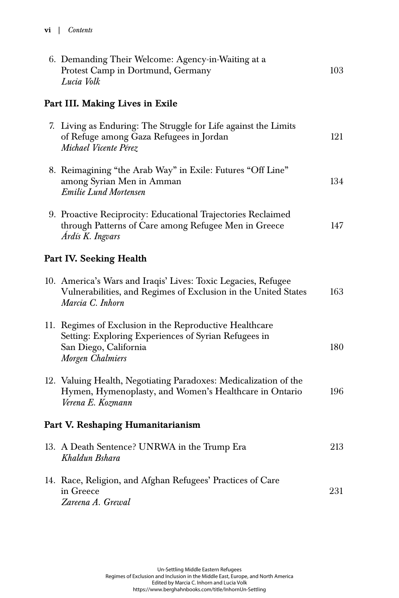| 6. Demanding Their Welcome: Agency-in-Waiting at a<br>Protest Camp in Dortmund, Germany<br>Lucia Volk                                                        | 103 |
|--------------------------------------------------------------------------------------------------------------------------------------------------------------|-----|
| Part III. Making Lives in Exile                                                                                                                              |     |
| 7. Living as Enduring: The Struggle for Life against the Limits<br>of Refuge among Gaza Refugees in Jordan<br>Michael Vicente Pérez                          | 121 |
| 8. Reimagining "the Arab Way" in Exile: Futures "Off Line"<br>among Syrian Men in Amman<br><b>Emilie Lund Mortensen</b>                                      | 134 |
| 9. Proactive Reciprocity: Educational Trajectories Reclaimed<br>through Patterns of Care among Refugee Men in Greece<br>Ardís K. Ingvars                     | 147 |
| Part IV. Seeking Health                                                                                                                                      |     |
| 10. America's Wars and Iraqis' Lives: Toxic Legacies, Refugee<br>Vulnerabilities, and Regimes of Exclusion in the United States<br>Marcia C. Inhorn          | 163 |
| 11. Regimes of Exclusion in the Reproductive Healthcare<br>Setting: Exploring Experiences of Syrian Refugees in<br>San Diego, California<br>Morgen Chalmiers | 180 |
| 12. Valuing Health, Negotiating Paradoxes: Medicalization of the<br>Hymen, Hymenoplasty, and Women's Healthcare in Ontario<br>Verena E. Kozmann              | 196 |
| Part V. Reshaping Humanitarianism                                                                                                                            |     |
| 13. A Death Sentence? UNRWA in the Trump Era<br>Khaldun Bshara                                                                                               | 213 |
| 14. Race, Religion, and Afghan Refugees' Practices of Care<br>in Greece<br>Zareena A. Grewal                                                                 | 231 |